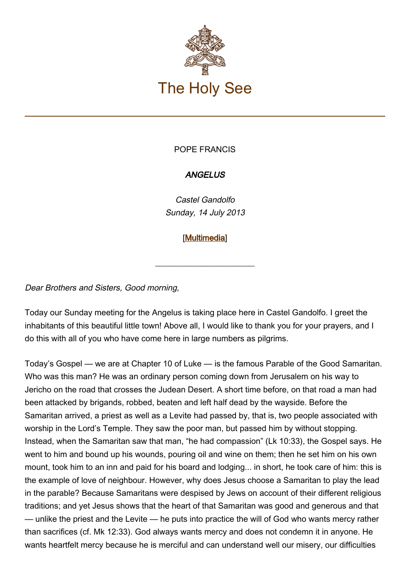

## POPE FRANCIS

## **ANGELUS**

Castel Gandolfo Sunday, 14 July 2013

[\[Multimedia](https://www.vatican.va/content/francesco/en/events/event.dir.html/content/vaticanevents/en/2013/7/14/papa-francesco_angelus_20130714.html)]

\_\_\_\_\_\_\_\_\_\_\_\_\_\_\_\_\_\_\_\_\_\_\_\_

Dear Brothers and Sisters, Good morning,

Today our Sunday meeting for the Angelus is taking place here in Castel Gandolfo. I greet the inhabitants of this beautiful little town! Above all, I would like to thank you for your prayers, and I do this with all of you who have come here in large numbers as pilgrims.

Today's Gospel — we are at Chapter 10 of Luke — is the famous Parable of the Good Samaritan. Who was this man? He was an ordinary person coming down from Jerusalem on his way to Jericho on the road that crosses the Judean Desert. A short time before, on that road a man had been attacked by brigands, robbed, beaten and left half dead by the wayside. Before the Samaritan arrived, a priest as well as a Levite had passed by, that is, two people associated with worship in the Lord's Temple. They saw the poor man, but passed him by without stopping. Instead, when the Samaritan saw that man, "he had compassion" (Lk 10:33), the Gospel says. He went to him and bound up his wounds, pouring oil and wine on them; then he set him on his own mount, took him to an inn and paid for his board and lodging... in short, he took care of him: this is the example of love of neighbour. However, why does Jesus choose a Samaritan to play the lead in the parable? Because Samaritans were despised by Jews on account of their different religious traditions; and yet Jesus shows that the heart of that Samaritan was good and generous and that — unlike the priest and the Levite — he puts into practice the will of God who wants mercy rather than sacrifices (cf. Mk 12:33). God always wants mercy and does not condemn it in anyone. He wants heartfelt mercy because he is merciful and can understand well our misery, our difficulties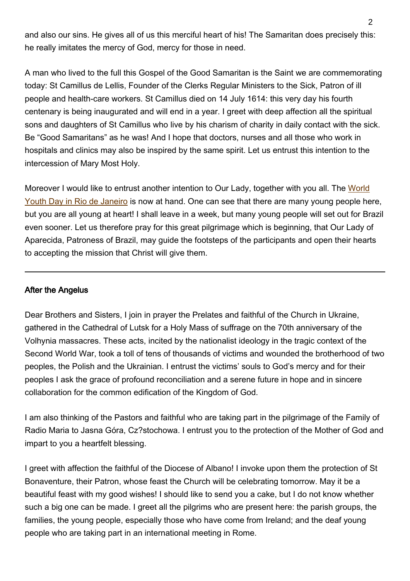and also our sins. He gives all of us this merciful heart of his! The Samaritan does precisely this: he really imitates the mercy of God, mercy for those in need.

A man who lived to the full this Gospel of the Good Samaritan is the Saint we are commemorating today: St Camillus de Lellis, Founder of the Clerks Regular Ministers to the Sick, Patron of ill people and health-care workers. St Camillus died on 14 July 1614: this very day his fourth centenary is being inaugurated and will end in a year. I greet with deep affection all the spiritual sons and daughters of St Camillus who live by his charism of charity in daily contact with the sick. Be "Good Samaritans" as he was! And I hope that doctors, nurses and all those who work in hospitals and clinics may also be inspired by the same spirit. Let us entrust this intention to the intercession of Mary Most Holy.

Moreover I would like to entrust another intention to Our Lady, together with you all. The [World](http://www.vatican.va/gmg/documents/gmg_2013_en.html) [Youth Day in Rio de Janeiro](http://www.vatican.va/gmg/documents/gmg_2013_en.html) is now at hand. One can see that there are many young people here, but you are all young at heart! I shall leave in a week, but many young people will set out for Brazil even sooner. Let us therefore pray for this great pilgrimage which is beginning, that Our Lady of Aparecida, Patroness of Brazil, may guide the footsteps of the participants and open their hearts to accepting the mission that Christ will give them.

## After the Angelus

Dear Brothers and Sisters, I join in prayer the Prelates and faithful of the Church in Ukraine, gathered in the Cathedral of Lutsk for a Holy Mass of suffrage on the 70th anniversary of the Volhynia massacres. These acts, incited by the nationalist ideology in the tragic context of the Second World War, took a toll of tens of thousands of victims and wounded the brotherhood of two peoples, the Polish and the Ukrainian. I entrust the victims' souls to God's mercy and for their peoples I ask the grace of profound reconciliation and a serene future in hope and in sincere collaboration for the common edification of the Kingdom of God.

I am also thinking of the Pastors and faithful who are taking part in the pilgrimage of the Family of Radio Maria to Jasna Góra, Cz?stochowa. I entrust you to the protection of the Mother of God and impart to you a heartfelt blessing.

I greet with affection the faithful of the Diocese of Albano! I invoke upon them the protection of St Bonaventure, their Patron, whose feast the Church will be celebrating tomorrow. May it be a beautiful feast with my good wishes! I should like to send you a cake, but I do not know whether such a big one can be made. I greet all the pilgrims who are present here: the parish groups, the families, the young people, especially those who have come from Ireland; and the deaf young people who are taking part in an international meeting in Rome.